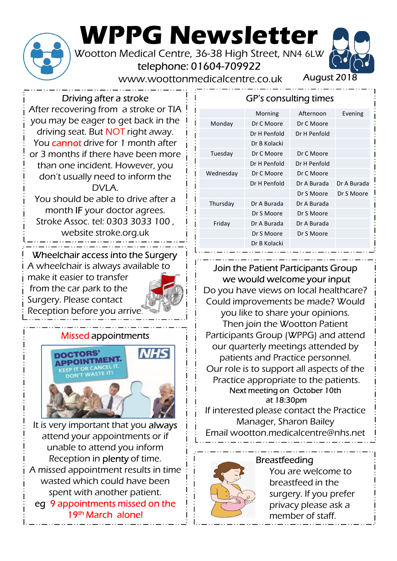

# WPPG Newsletter<br>Wootton Medical Centre, 36-38 High Street, NN4 6LW Wootton Medical Centre, 36-38 High Street, NN4 6LW<br>telephone: 01604-709922<br>www.woottonmedicalcentre.co.uk August 2018<br>ving after a stroke

telephone: 01604-709922

www.woottonmedicalcentre.co.uk

### Driving after a stroke

After recovering from a stroke or TIA you may be eager to get back in the driving seat. But NOT right away. You cannot drive for 1 month after or 3 months if there have been more than one incident. However, you don't usually need to inform the DVI A You should be able to drive after a

month IF your doctor agrees. Stroke Assoc. tel: 0303 3033 100 ,

website stroke.org.uk

# Wheelchair access into the Surgery

A wheelchair is always available to from the car park to the Surgery. Please contact Reception before you arrive.



#### Missed appointments



It is very important that you always attend your appointments or if unable to attend you inform Reception in plenty of time. A missed appointment results in time wasted which could have been spent with another patient. eg 9 appointments missed on the 19th March alone!

|                                   | ewsletter                  |              |             |
|-----------------------------------|----------------------------|--------------|-------------|
| 1604-709922<br>edicalcentre.co.uk | 36-38 High Street, NN4 6LW | August 2018  |             |
|                                   | GP's consulting times      |              |             |
|                                   | Morning                    | Afternoon    | Evening     |
| Monday                            | Dr C Moore                 | Dr C Moore   |             |
|                                   | Dr H Penfold               | Dr H Penfold |             |
|                                   | Dr B Kolacki               |              |             |
| Tuesday                           | Dr C Moore                 | Dr C Moore   |             |
|                                   | Dr H Penfold               | Dr H Penfold |             |
| Wednesday                         | Dr C Moore                 | Dr C Moore   |             |
|                                   | Dr H Penfold               | Dr A Burada  | Dr A Burada |
|                                   |                            | Dr S Moore   | Dr S Moore  |
| Thursday                          | Dr A Burada                | Dr A Burada  |             |
|                                   | Dr S Moore                 | Dr S Moore   |             |
|                                   |                            | Dr A Burada  |             |
| Friday                            | Dr A Burada                |              |             |
|                                   | Dr S Moore                 | Dr S Moore   |             |

#### A wheelchair is always available to  $\begin{array}{c} 1 \ 1 \end{array}$  Join the Patient Participants Group make it easier to transfer we would welcome your input

Do you have views on local healthcare? Could improvements be made? Would you like to share your opinions. Then join the Wootton Patient Participants Group (WPPG) and attend our quarterly meetings attended by patients and Practice personnel. Our role is to support all aspects of the Practice appropriate to the patients. Next meeting on October 10th at 18:30pm

If interested please contact the Practice Manager, Sharon Bailey Email wootton.medicalcentre@nhs.net

## Breastfeeding



You are welcome to breastfeed in the surgery. If you prefer privacy please ask a member of staff.